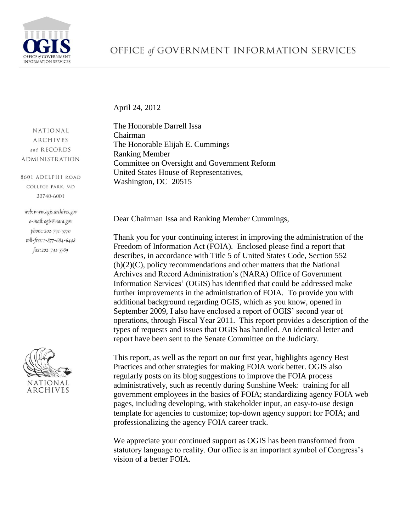

April 24, 2012

NATIONAL **ARCHIVES** and RECORDS **ADMINISTRATION** 

8601 ADELPHI ROAD COLLEGE PARK, MD 20740-6001

web: www.ogis.archives.gov e-mail: ogis@nara.gov phone: 202-741-5770 toll-free: 1-877-684-6448 fax: 202-741-5769



The Honorable Darrell Issa Chairman The Honorable Elijah E. Cummings Ranking Member Committee on Oversight and Government Reform United States House of Representatives, Washington, DC 20515

Dear Chairman Issa and Ranking Member Cummings,

Thank you for your continuing interest in improving the administration of the Freedom of Information Act (FOIA). Enclosed please find a report that describes, in accordance with Title 5 of United States Code, Section 552 (h)(2)(C), policy recommendations and other matters that the National Archives and Record Administration's (NARA) Office of Government Information Services' (OGIS) has identified that could be addressed make further improvements in the administration of FOIA. To provide you with additional background regarding OGIS, which as you know, opened in September 2009, I also have enclosed a report of OGIS' second year of operations, through Fiscal Year 2011. This report provides a description of the types of requests and issues that OGIS has handled. An identical letter and report have been sent to the Senate Committee on the Judiciary.

This report, as well as the report on our first year, highlights agency Best Practices and other strategies for making FOIA work better. OGIS also regularly posts on its blog suggestions to improve the FOIA process administratively, such as recently during Sunshine Week: training for all government employees in the basics of FOIA; standardizing agency FOIA web pages, including developing, with stakeholder input, an easy-to-use design template for agencies to customize; top-down agency support for FOIA; and professionalizing the agency FOIA career track.

We appreciate your continued support as OGIS has been transformed from statutory language to reality. Our office is an important symbol of Congress's vision of a better FOIA.